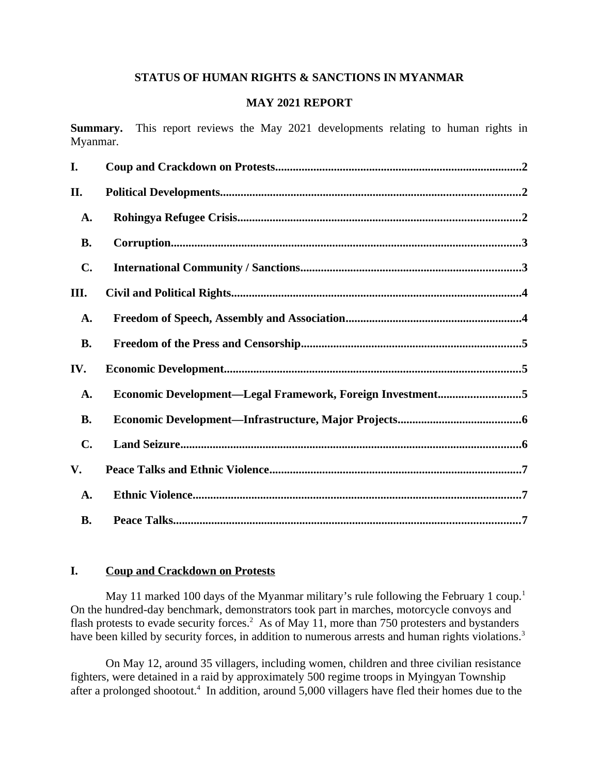#### **STATUS OF HUMAN RIGHTS & SANCTIONS IN MYANMAR**

#### **MAY 2021 REPORT**

**Summary.** This report reviews the May 2021 developments relating to human rights in Myanmar.

| I.             |                                                           |
|----------------|-----------------------------------------------------------|
| II.            |                                                           |
| A.             |                                                           |
| <b>B.</b>      |                                                           |
| C.             |                                                           |
| III.           |                                                           |
| A.             |                                                           |
| <b>B.</b>      |                                                           |
| IV.            |                                                           |
| A.             | Economic Development—Legal Framework, Foreign Investment5 |
| <b>B.</b>      |                                                           |
| $\mathbf{C}$ . |                                                           |
| V.             |                                                           |
| A.             |                                                           |
| <b>B.</b>      |                                                           |

# <span id="page-0-0"></span>**I. Coup and Crackdown on Protests**

May 11 marked 100 days of the Myanmar military's rule following the February 1 coup.<sup>1</sup> On the hundred-day benchmark, demonstrators took part in marches, motorcycle convoys and flash protests to evade security forces.<sup>2</sup> As of May 11, more than 750 protesters and bystanders have been killed by security forces, in addition to numerous arrests and human rights violations.<sup>3</sup>

On May 12, around 35 villagers, including women, children and three civilian resistance fighters, were detained in a raid by approximately 500 regime troops in Myingyan Township after a prolonged shootout.<sup>4</sup> In addition, around 5,000 villagers have fled their homes due to the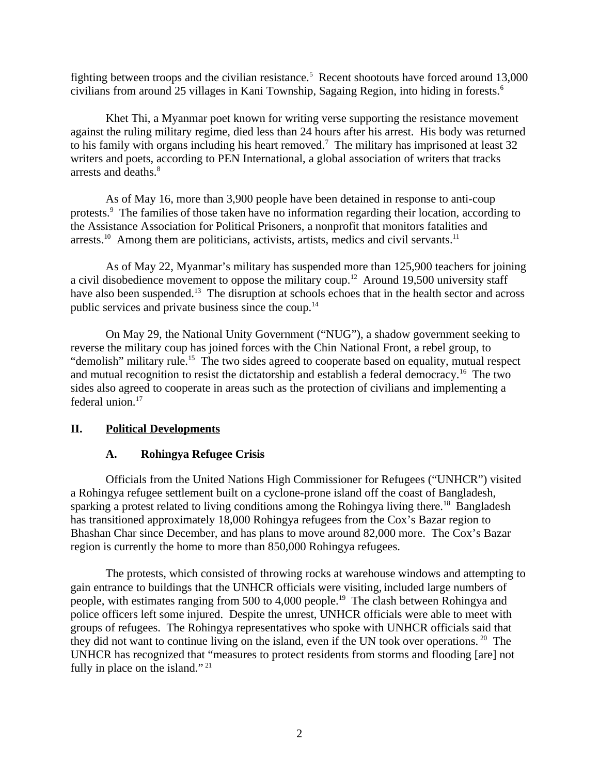fighting between troops and the civilian resistance.<sup>5</sup> Recent shootouts have forced around 13,000 civilians from around 25 villages in Kani Township, Sagaing Region, into hiding in forests.<sup>6</sup>

Khet Thi, a Myanmar poet known for writing verse supporting the resistance movement against the ruling military regime, died less than 24 hours after his arrest. His body was returned to his family with organs including his heart removed.<sup>7</sup> The military has imprisoned at least 32 writers and poets, according to PEN International, a global association of writers that tracks arrests and deaths.<sup>8</sup>

As of May 16, more than 3,900 people have been detained in response to anti-coup protests.<sup>9</sup> The families of those taken have no information regarding their location, according to the Assistance Association for Political Prisoners, a nonprofit that monitors fatalities and arrests.<sup>10</sup> Among them are politicians, activists, artists, medics and civil servants.<sup>11</sup>

As of May 22, Myanmar's military has suspended more than 125,900 teachers for joining a civil disobedience movement to oppose the military coup.<sup>12</sup> Around 19,500 university staff have also been suspended.<sup>13</sup> The disruption at schools echoes that in the health sector and across public services and private business since the coup.<sup>14</sup>

On May 29, the National Unity Government ("NUG"), a shadow government seeking to reverse the military coup has joined forces with the Chin National Front, a rebel group, to "demolish" military rule.<sup>15</sup> The two sides agreed to cooperate based on equality, mutual respect and mutual recognition to resist the dictatorship and establish a federal democracy.<sup>16</sup> The two sides also agreed to cooperate in areas such as the protection of civilians and implementing a federal union.<sup>17</sup>

#### **II. Political Developments**

# <span id="page-1-1"></span><span id="page-1-0"></span>**A. Rohingya Refugee Crisis**

Officials from the United Nations High Commissioner for Refugees ("UNHCR") visited a Rohingya refugee settlement built on a cyclone-prone island off the coast of Bangladesh, sparking a protest related to living conditions among the Rohingya living there.<sup>18</sup> Bangladesh has transitioned approximately 18,000 Rohingya refugees from the Cox's Bazar region to Bhashan Char since December, and has plans to move around 82,000 more. The Cox's Bazar region is currently the home to more than 850,000 Rohingya refugees.

The protests, which consisted of throwing rocks at warehouse windows and attempting to gain entrance to buildings that the UNHCR officials were visiting, included large numbers of people, with estimates ranging from 500 to 4,000 people.<sup>19</sup> The clash between Rohingya and police officers left some injured. Despite the unrest, UNHCR officials were able to meet with groups of refugees. The Rohingya representatives who spoke with UNHCR officials said that they did not want to continue living on the island, even if the UN took over operations.  $20$  The UNHCR has recognized that "measures to protect residents from storms and flooding [are] not fully in place on the island."  $21$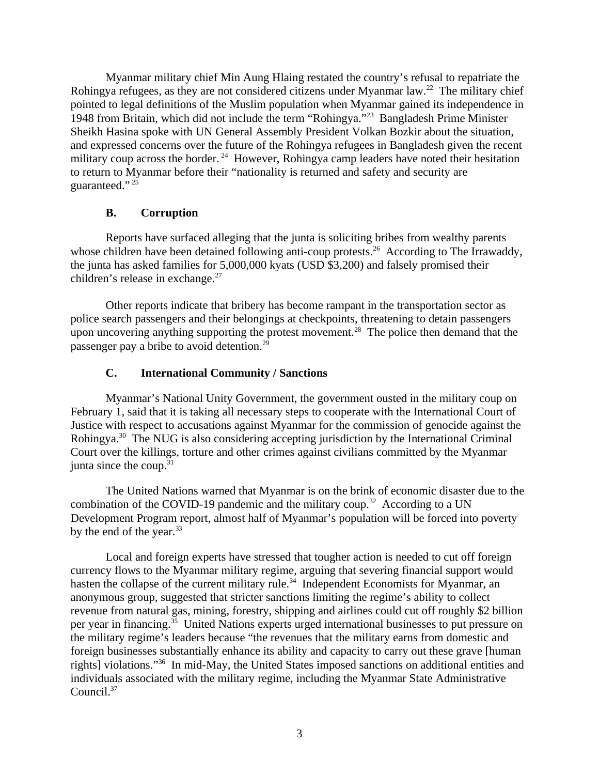Myanmar military chief Min Aung Hlaing restated the country's refusal to repatriate the Rohingya refugees, as they are not considered citizens under Myanmar law.<sup>22</sup> The military chief pointed to legal definitions of the Muslim population when Myanmar gained its independence in 1948 from Britain, which did not include the term "Rohingya."<sup>23</sup> Bangladesh Prime Minister Sheikh Hasina spoke with UN General Assembly President Volkan Bozkir about the situation, and expressed concerns over the future of the Rohingya refugees in Bangladesh given the recent military coup across the border.<sup>24</sup> However, Rohingya camp leaders have noted their hesitation to return to Myanmar before their "nationality is returned and safety and security are guaranteed." <sup>25</sup>

# <span id="page-2-1"></span>**B. Corruption**

Reports have surfaced alleging that the junta is soliciting bribes from wealthy parents whose children have been detained following anti-coup protests.<sup>26</sup> According to The Irrawaddy, the junta has asked families for 5,000,000 kyats (USD \$3,200) and falsely promised their children's release in exchange.<sup>27</sup>

Other reports indicate that bribery has become rampant in the transportation sector as police search passengers and their belongings at checkpoints, threatening to detain passengers upon uncovering anything supporting the protest movement.<sup>28</sup> The police then demand that the passenger pay a bribe to avoid detention.<sup>29</sup>

# <span id="page-2-0"></span>**C. International Community / Sanctions**

Myanmar's National Unity Government, the government ousted in the military coup on February 1, said that it is taking all necessary steps to cooperate with the International Court of Justice with respect to accusations against Myanmar for the commission of genocide against the Rohingya.<sup>30</sup> The NUG is also considering accepting jurisdiction by the International Criminal Court over the killings, torture and other crimes against civilians committed by the Myanmar junta since the coup. $31$ 

The United Nations warned that Myanmar is on the brink of economic disaster due to the combination of the COVID-19 pandemic and the military coup.<sup>32</sup> According to a UN Development Program report, almost half of Myanmar's population will be forced into poverty by the end of the year.<sup>33</sup>

Local and foreign experts have stressed that tougher action is needed to cut off foreign currency flows to the Myanmar military regime, arguing that severing financial support would hasten the collapse of the current military rule.<sup>34</sup> Independent Economists for Myanmar, an anonymous group, suggested that stricter sanctions limiting the regime's ability to collect revenue from natural gas, mining, forestry, shipping and airlines could cut off roughly \$2 billion per year in financing.<sup>35</sup> United Nations experts urged international businesses to put pressure on the military regime's leaders because "the revenues that the military earns from domestic and foreign businesses substantially enhance its ability and capacity to carry out these grave [human rights] violations."<sup>36</sup> In mid-May, the United States imposed sanctions on additional entities and individuals associated with the military regime, including the Myanmar State Administrative Council.<sup>37</sup>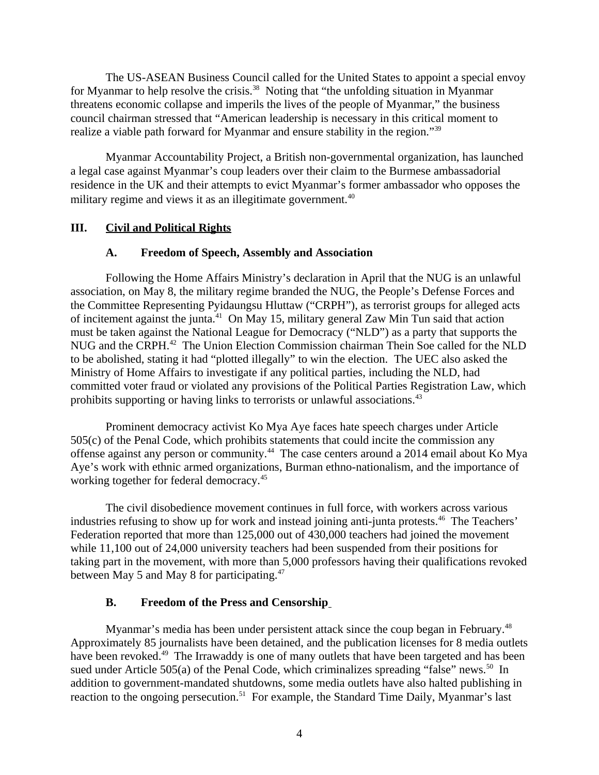The US-ASEAN Business Council called for the United States to appoint a special envoy for Myanmar to help resolve the crisis.<sup>38</sup> Noting that "the unfolding situation in Myanmar threatens economic collapse and imperils the lives of the people of Myanmar," the business council chairman stressed that "American leadership is necessary in this critical moment to realize a viable path forward for Myanmar and ensure stability in the region."<sup>39</sup>

Myanmar Accountability Project, a British non-governmental organization, has launched a legal case against Myanmar's coup leaders over their claim to the Burmese ambassadorial residence in the UK and their attempts to evict Myanmar's former ambassador who opposes the military regime and views it as an illegitimate government. $40$ 

#### **III. Civil and Political Rights**

#### <span id="page-3-2"></span><span id="page-3-1"></span>**A. Freedom of Speech, Assembly and Association**

Following the Home Affairs Ministry's declaration in April that the NUG is an unlawful association, on May 8, the military regime branded the NUG, the People's Defense Forces and the Committee Representing Pyidaungsu Hluttaw ("CRPH"), as terrorist groups for alleged acts of incitement against the junta.<sup>41</sup> On May 15, military general Zaw Min Tun said that action must be taken against the National League for Democracy ("NLD") as a party that supports the NUG and the CRPH.<sup>42</sup> The Union Election Commission chairman Thein Soe called for the NLD to be abolished, stating it had "plotted illegally" to win the election. The UEC also asked the Ministry of Home Affairs to investigate if any political parties, including the NLD, had committed voter fraud or violated any provisions of the Political Parties Registration Law, which prohibits supporting or having links to terrorists or unlawful associations.<sup>43</sup>

Prominent democracy activist Ko Mya Aye faces hate speech charges under Article 505(c) of the Penal Code, which prohibits statements that could incite the commission any offense against any person or community.<sup>44</sup> The case centers around a 2014 email about Ko Mya Aye's work with ethnic armed organizations, Burman ethno-nationalism, and the importance of working together for federal democracy.<sup>45</sup>

The civil disobedience movement continues in full force, with workers across various industries refusing to show up for work and instead joining anti-junta protests.<sup>46</sup> The Teachers' Federation reported that more than 125,000 out of 430,000 teachers had joined the movement while 11,100 out of 24,000 university teachers had been suspended from their positions for taking part in the movement, with more than 5,000 professors having their qualifications revoked between May 5 and May 8 for participating.<sup>47</sup>

# <span id="page-3-0"></span>**B. Freedom of the Press and Censorship**

Myanmar's media has been under persistent attack since the coup began in February.<sup>48</sup> Approximately 85 journalists have been detained, and the publication licenses for 8 media outlets have been revoked.<sup>49</sup> The Irrawaddy is one of many outlets that have been targeted and has been sued under Article 505(a) of the Penal Code, which criminalizes spreading "false" news.<sup>50</sup> In addition to government-mandated shutdowns, some media outlets have also halted publishing in reaction to the ongoing persecution.<sup>51</sup> For example, the Standard Time Daily, Myanmar's last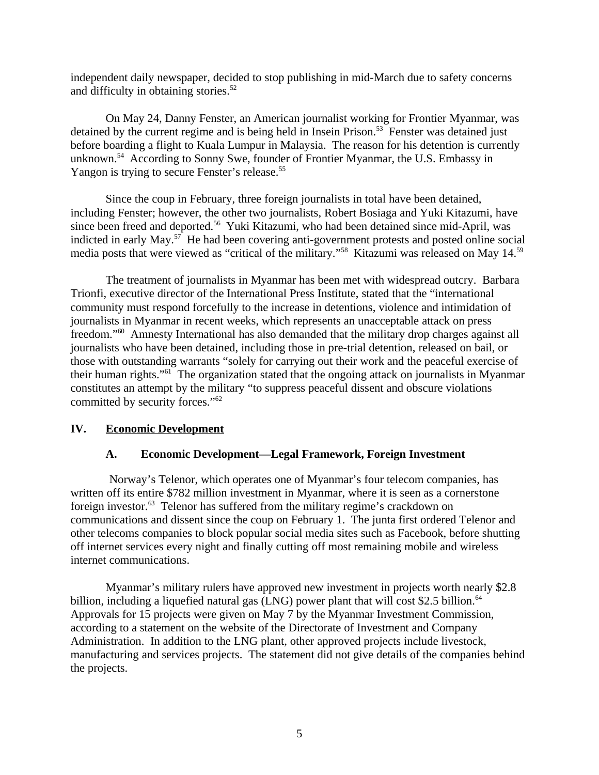independent daily newspaper, decided to stop publishing in mid-March due to safety concerns and difficulty in obtaining stories. $52$ 

On May 24, Danny Fenster, an American journalist working for Frontier Myanmar, was detained by the current regime and is being held in Insein Prison.<sup>53</sup> Fenster was detained just before boarding a flight to Kuala Lumpur in Malaysia. The reason for his detention is currently unknown.<sup>54</sup> According to Sonny Swe, founder of Frontier Myanmar, the U.S. Embassy in Yangon is trying to secure Fenster's release.<sup>55</sup>

Since the coup in February, three foreign journalists in total have been detained, including Fenster; however, the other two journalists, Robert Bosiaga and Yuki Kitazumi, have since been freed and deported.<sup>56</sup> Yuki Kitazumi, who had been detained since mid-April, was indicted in early May.<sup>57</sup> He had been covering anti-government protests and posted online social media posts that were viewed as "critical of the military."<sup>58</sup> Kitazumi was released on May 14.<sup>59</sup>

The treatment of journalists in Myanmar has been met with widespread outcry. Barbara Trionfi, executive director of the International Press Institute, stated that the "international community must respond forcefully to the increase in detentions, violence and intimidation of journalists in Myanmar in recent weeks, which represents an unacceptable attack on press freedom."<sup>60</sup> Amnesty International has also demanded that the military drop charges against all journalists who have been detained, including those in pre-trial detention, released on bail, or those with outstanding warrants "solely for carrying out their work and the peaceful exercise of their human rights."<sup>61</sup> The organization stated that the ongoing attack on journalists in Myanmar constitutes an attempt by the military "to suppress peaceful dissent and obscure violations committed by security forces."<sup>62</sup>

# **IV. Economic Development**

# <span id="page-4-1"></span><span id="page-4-0"></span>**A. Economic Development—Legal Framework, Foreign Investment**

Norway's Telenor, which operates one of Myanmar's four telecom companies, has written off its entire \$782 million investment in Myanmar, where it is seen as a cornerstone foreign investor.<sup>63</sup> Telenor has suffered from the military regime's crackdown on communications and dissent since the coup on February 1. The junta first ordered Telenor and other telecoms companies to block popular social media sites such as Facebook, before shutting off internet services every night and finally cutting off most remaining mobile and wireless internet communications.

Myanmar's military rulers have approved new investment in projects worth nearly \$2.8 billion, including a liquefied natural gas (LNG) power plant that will cost \$2.5 billion.<sup>64</sup> Approvals for 15 projects were given on May 7 by the Myanmar Investment Commission, according to a statement on the website of the Directorate of Investment and Company Administration. In addition to the LNG plant, other approved projects include livestock, manufacturing and services projects. The statement did not give details of the companies behind the projects.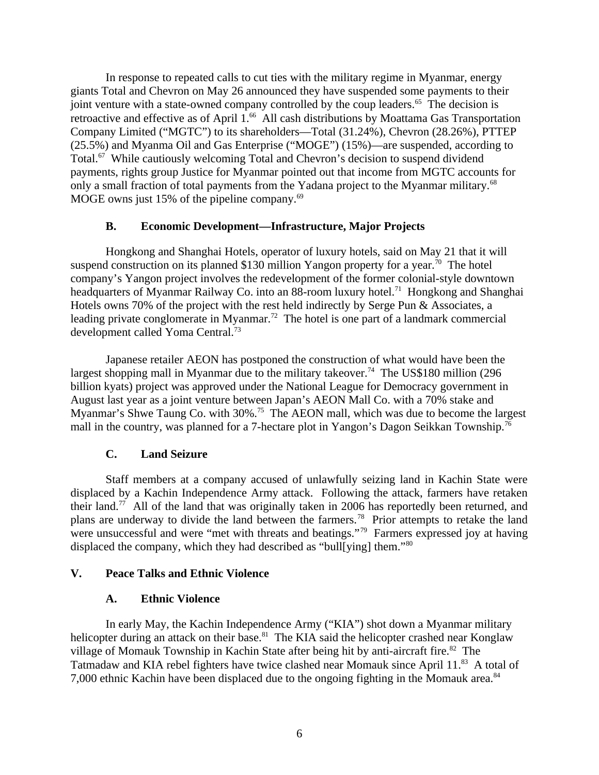In response to repeated calls to cut ties with the military regime in Myanmar, energy giants Total and Chevron on May 26 announced they have suspended some payments to their joint venture with a state-owned company controlled by the coup leaders. $65$  The decision is retroactive and effective as of April 1.<sup>66</sup> All cash distributions by Moattama Gas Transportation Company Limited ("MGTC") to its shareholders—Total (31.24%), Chevron (28.26%), PTTEP (25.5%) and Myanma Oil and Gas Enterprise ("MOGE") (15%)—are suspended, according to Total.<sup>67</sup> While cautiously welcoming Total and Chevron's decision to suspend dividend payments, rights group Justice for Myanmar pointed out that income from MGTC accounts for only a small fraction of total payments from the Yadana project to the Myanmar military.<sup>68</sup> MOGE owns just 15% of the pipeline company. $69$ 

#### <span id="page-5-3"></span>**B. Economic Development—Infrastructure, Major Projects**

Hongkong and Shanghai Hotels, operator of luxury hotels, said on May 21 that it will suspend construction on its planned \$130 million Yangon property for a year.<sup>70</sup> The hotel company's Yangon project involves the redevelopment of the former colonial-style downtown headquarters of Myanmar Railway Co. into an 88-room luxury hotel.<sup>71</sup> Hongkong and Shanghai Hotels owns 70% of the project with the rest held indirectly by Serge Pun & Associates, a leading private conglomerate in Myanmar.<sup>72</sup> The hotel is one part of a landmark commercial development called Yoma Central.<sup>73</sup>

Japanese retailer AEON has postponed the construction of what would have been the largest shopping mall in Myanmar due to the military takeover.<sup>74</sup> The US\$180 million (296) billion kyats) project was approved under the National League for Democracy government in August last year as a joint venture between Japan's AEON Mall Co. with a 70% stake and Myanmar's Shwe Taung Co. with 30%.<sup>75</sup> The AEON mall, which was due to become the largest mall in the country, was planned for a 7-hectare plot in Yangon's Dagon Seikkan Township.<sup>76</sup>

# <span id="page-5-2"></span>**C. Land Seizure**

Staff members at a company accused of unlawfully seizing land in Kachin State were displaced by a Kachin Independence Army attack. Following the attack, farmers have retaken their land.<sup>77</sup> All of the land that was originally taken in 2006 has reportedly been returned, and plans are underway to divide the land between the farmers.<sup>78</sup> Prior attempts to retake the land were unsuccessful and were "met with threats and beatings."<sup>79</sup> Farmers expressed joy at having displaced the company, which they had described as "bull[ving] them."<sup>80</sup>

# **V. Peace Talks and Ethnic Violence**

#### <span id="page-5-1"></span><span id="page-5-0"></span>**A. Ethnic Violence**

In early May, the Kachin Independence Army ("KIA") shot down a Myanmar military helicopter during an attack on their base.<sup>81</sup> The KIA said the helicopter crashed near Konglaw village of Momauk Township in Kachin State after being hit by anti-aircraft fire.<sup>82</sup> The Tatmadaw and KIA rebel fighters have twice clashed near Momauk since April 11.<sup>83</sup> A total of 7,000 ethnic Kachin have been displaced due to the ongoing fighting in the Momauk area.<sup>84</sup>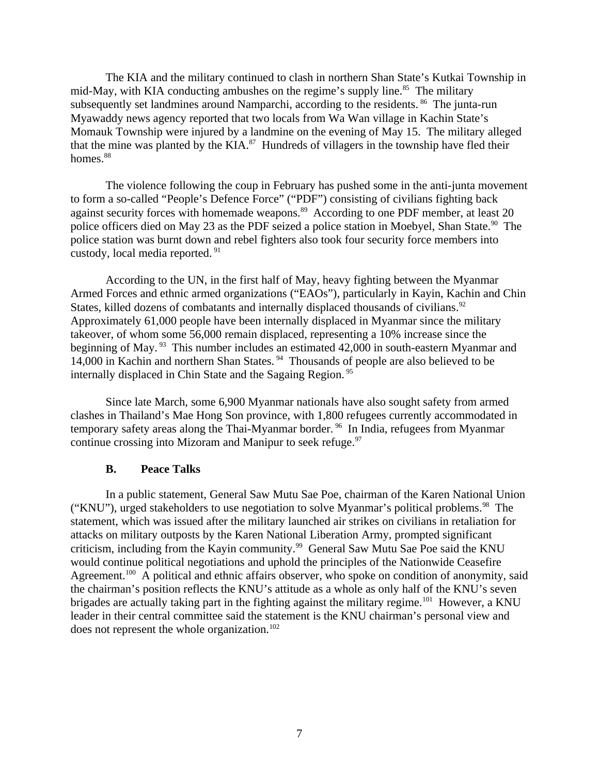The KIA and the military continued to clash in northern Shan State's Kutkai Township in mid-May, with KIA conducting ambushes on the regime's supply line. $85$  The military subsequently set landmines around Namparchi, according to the residents. <sup>86</sup> The junta-run Myawaddy news agency reported that two locals from Wa Wan village in Kachin State's Momauk Township were injured by a landmine on the evening of May 15. The military alleged that the mine was planted by the KIA. $^{87}$  Hundreds of villagers in the township have fled their homes. $88$ 

The violence following the coup in February has pushed some in the anti-junta movement to form a so-called "People's Defence Force" ("PDF") consisting of civilians fighting back against security forces with homemade weapons.<sup>89</sup> According to one PDF member, at least 20 police officers died on May 23 as the PDF seized a police station in Moebyel, Shan State.<sup>90</sup> The police station was burnt down and rebel fighters also took four security force members into custody, local media reported. <sup>91</sup>

According to the UN, in the first half of May, heavy fighting between the Myanmar Armed Forces and ethnic armed organizations ("EAOs"), particularly in Kayin, Kachin and Chin States, killed dozens of combatants and internally displaced thousands of civilians. $92$ Approximately 61,000 people have been internally displaced in Myanmar since the military takeover, of whom some 56,000 remain displaced, representing a 10% increase since the beginning of May. <sup>93</sup> This number includes an estimated 42,000 in south-eastern Myanmar and 14,000 in Kachin and northern Shan States. <sup>94</sup> Thousands of people are also believed to be internally displaced in Chin State and the Sagaing Region.<sup>95</sup>

Since late March, some 6,900 Myanmar nationals have also sought safety from armed clashes in Thailand's Mae Hong Son province, with 1,800 refugees currently accommodated in temporary safety areas along the Thai-Myanmar border.<sup>96</sup> In India, refugees from Myanmar continue crossing into Mizoram and Manipur to seek refuge. $97$ 

#### <span id="page-6-0"></span>**B. Peace Talks**

In a public statement, General Saw Mutu Sae Poe, chairman of the Karen National Union ("KNU"), urged stakeholders to use negotiation to solve Myanmar's political problems.<sup>98</sup> The statement, which was issued after the military launched air strikes on civilians in retaliation for attacks on military outposts by the Karen National Liberation Army, prompted significant criticism, including from the Kayin community.<sup>99</sup> General Saw Mutu Sae Poe said the KNU would continue political negotiations and uphold the principles of the Nationwide Ceasefire Agreement.<sup>100</sup> A political and ethnic affairs observer, who spoke on condition of anonymity, said the chairman's position reflects the KNU's attitude as a whole as only half of the KNU's seven brigades are actually taking part in the fighting against the military regime.<sup>101</sup> However, a KNU leader in their central committee said the statement is the KNU chairman's personal view and does not represent the whole organization.<sup>102</sup>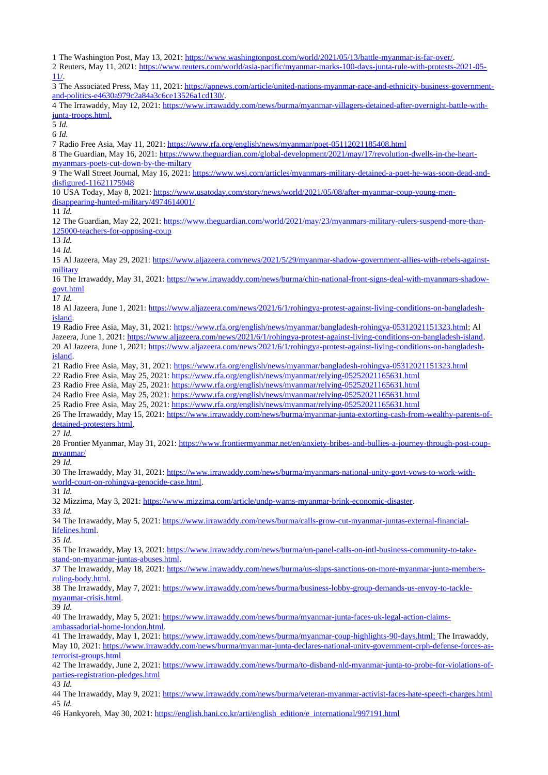The Washington Post, May 13, 2021: [https://www.washingtonpost.com/world/2021/05/13/battle-myanmar-is-far-over/.](https://www.washingtonpost.com/world/2021/05/13/battle-myanmar-is-far-over/)

 Reuters, May 11, 2021: [https://www.reuters.com/world/asia-pacific/myanmar-marks-100-days-junta-rule-with-protests-2021-05-](https://www.reuters.com/world/asia-pacific/myanmar-marks-100-days-junta-rule-with-protests-2021-05-11/) [11/.](https://www.reuters.com/world/asia-pacific/myanmar-marks-100-days-junta-rule-with-protests-2021-05-11/)

 The Associated Press, May 11, 2021: [https://apnews.com/article/united-nations-myanmar-race-and-ethnicity-business-government](https://apnews.com/article/united-nations-myanmar-race-and-ethnicity-business-government-and-politics-e4630a979c2a84a3c6ce13526a1cd130/)[and-politics-e4630a979c2a84a3c6ce13526a1cd130/.](https://apnews.com/article/united-nations-myanmar-race-and-ethnicity-business-government-and-politics-e4630a979c2a84a3c6ce13526a1cd130/)

 The Irrawaddy, May 12, 2021: [https://www.irrawaddy.com/news/burma/myanmar-villagers-detained-after-overnight-battle-with](https://www.irrawaddy.com/news/burma/myanmar-villagers-detained-after-overnight-battle-with-junta-troops.html)  [junta-troops.html.](https://www.irrawaddy.com/news/burma/myanmar-villagers-detained-after-overnight-battle-with-junta-troops.html)

*Id.*

*Id.*

Radio Free Asia, May 11, 2021:<https://www.rfa.org/english/news/myanmar/poet-05112021185408.html>

 The Guardian, May 16, 2021: [https://www.theguardian.com/global-development/2021/may/17/revolution-dwells-in-the-heart](https://www.theguardian.com/global-development/2021/may/17/revolution-dwells-in-the-heart-myanmars-poets-cut-down-by-the-miltary)[myanmars-poets-cut-down-by-the-miltary](https://www.theguardian.com/global-development/2021/may/17/revolution-dwells-in-the-heart-myanmars-poets-cut-down-by-the-miltary)

 The Wall Street Journal, May 16, 2021: [https://www.wsj.com/articles/myanmars-military-detained-a-poet-he-was-soon-dead-and](https://www.wsj.com/articles/myanmars-military-detained-a-poet-he-was-soon-dead-and-disfigured-11621175948)[disfigured-11621175948](https://www.wsj.com/articles/myanmars-military-detained-a-poet-he-was-soon-dead-and-disfigured-11621175948)

 USA Today, May 8, 2021: [https://www.usatoday.com/story/news/world/2021/05/08/after-myanmar-coup-young-men](https://www.usatoday.com/story/news/world/2021/05/08/after-myanmar-coup-young-men-disappearing-hunted-military/4974614001/)[disappearing-hunted-military/4974614001/](https://www.usatoday.com/story/news/world/2021/05/08/after-myanmar-coup-young-men-disappearing-hunted-military/4974614001/)

*Id.*

12 The Guardian, May 22, 2021: [https://www.theguardian.com/world/2021/may/23/myanmars-military-rulers-suspend-more-than-](https://www.theguardian.com/world/2021/may/23/myanmars-military-rulers-suspend-more-than-125000-teachers-for-opposing-coup)[125000-teachers-for-opposing-coup](https://www.theguardian.com/world/2021/may/23/myanmars-military-rulers-suspend-more-than-125000-teachers-for-opposing-coup)

*Id.* 

*Id.* 

 Al Jazeera, May 29, 2021: [https://www.aljazeera.com/news/2021/5/29/myanmar-shadow-government-allies-with-rebels-against](https://www.aljazeera.com/news/2021/5/29/myanmar-shadow-government-allies-with-rebels-against-military)[military](https://www.aljazeera.com/news/2021/5/29/myanmar-shadow-government-allies-with-rebels-against-military)

 The Irrawaddy, May 31, 2021: [https://www.irrawaddy.com/news/burma/chin-national-front-signs-deal-with-myanmars-shadow](https://www.irrawaddy.com/news/burma/chin-national-front-signs-deal-with-myanmars-shadow-govt.html)[govt.html](https://www.irrawaddy.com/news/burma/chin-national-front-signs-deal-with-myanmars-shadow-govt.html)

*Id.* 

 Al Jazeera, June 1, 2021: [https://www.aljazeera.com/news/2021/6/1/rohingya-protest-against-living-conditions-on-bangladesh](https://www.aljazeera.com/news/2021/6/1/rohingya-protest-against-living-conditions-on-bangladesh-island)[island.](https://www.aljazeera.com/news/2021/6/1/rohingya-protest-against-living-conditions-on-bangladesh-island)

Radio Free Asia, May, 31, 2021: [https://www.rfa.org/english/news/myanmar/bangladesh-rohingya-05312021151323.html;](https://www.rfa.org/english/news/myanmar/bangladesh-rohingya-05312021151323.html) Al

Jazeera, June 1, 2021: [https://www.aljazeera.com/news/2021/6/1/rohingya-protest-against-living-conditions-on-bangladesh-island.](https://www.aljazeera.com/news/2021/6/1/rohingya-protest-against-living-conditions-on-bangladesh-island) Al Jazeera, June 1, 2021: [https://www.aljazeera.com/news/2021/6/1/rohingya-protest-against-living-conditions-on-bangladesh-](https://www.aljazeera.com/news/2021/6/1/rohingya-protest-against-living-conditions-on-bangladesh-island)

[island.](https://www.aljazeera.com/news/2021/6/1/rohingya-protest-against-living-conditions-on-bangladesh-island)

Radio Free Asia, May, 31, 2021:<https://www.rfa.org/english/news/myanmar/bangladesh-rohingya-05312021151323.html>

Radio Free Asia, May 25, 2021:<https://www.rfa.org/english/news/myanmar/relying-05252021165631.html>

Radio Free Asia, May 25, 2021:<https://www.rfa.org/english/news/myanmar/relying-05252021165631.html>

Radio Free Asia, May 25, 2021:<https://www.rfa.org/english/news/myanmar/relying-05252021165631.html>

Radio Free Asia, May 25, 2021:<https://www.rfa.org/english/news/myanmar/relying-05252021165631.html>

 The Irrawaddy, May 15, 2021: [https://www.irrawaddy.com/news/burma/myanmar-junta-extorting-cash-from-wealthy-parents-of](https://www.irrawaddy.com/news/burma/myanmar-junta-extorting-cash-from-wealthy-parents-of-detained-protesters.html)[detained-protesters.html.](https://www.irrawaddy.com/news/burma/myanmar-junta-extorting-cash-from-wealthy-parents-of-detained-protesters.html)

*Id.*

28 Frontier Myanmar, May 31, 2021: [https://www.frontiermyanmar.net/en/anxiety-bribes-and-bullies-a-journey-through-post-coup](https://www.frontiermyanmar.net/en/anxiety-bribes-and-bullies-a-journey-through-post-coup-myanmar/)[myanmar/](https://www.frontiermyanmar.net/en/anxiety-bribes-and-bullies-a-journey-through-post-coup-myanmar/)

*Id.*

30 The Irrawaddy, May 31, 2021: [https://www.irrawaddy.com/news/burma/myanmars-national-unity-govt-vows-to-work-with](https://www.irrawaddy.com/news/burma/myanmars-national-unity-govt-vows-to-work-with-world-court-on-rohingya-genocide-case.html)[world-court-on-rohingya-genocide-case.html.](https://www.irrawaddy.com/news/burma/myanmars-national-unity-govt-vows-to-work-with-world-court-on-rohingya-genocide-case.html)

*Id.*

Mizzima, May 3, 2021: [https://www.mizzima.com/article/undp-warns-myanmar-brink-economic-disaster.](https://www.mizzima.com/article/undp-warns-myanmar-brink-economic-disaster)

*Id.*

 The Irrawaddy, May 5, 2021: [https://www.irrawaddy.com/news/burma/calls-grow-cut-myanmar-juntas-external-financial](https://www.irrawaddy.com/news/burma/calls-grow-cut-myanmar-juntas-external-financial-lifelines.html)[lifelines.html.](https://www.irrawaddy.com/news/burma/calls-grow-cut-myanmar-juntas-external-financial-lifelines.html)

*Id.*

 The Irrawaddy, May 13, 2021: [https://www.irrawaddy.com/news/burma/un-panel-calls-on-intl-business-community-to-take](https://www.irrawaddy.com/news/burma/un-panel-calls-on-intl-business-community-to-take-stand-on-myanmar-juntas-abuses.html)[stand-on-myanmar-juntas-abuses.html.](https://www.irrawaddy.com/news/burma/un-panel-calls-on-intl-business-community-to-take-stand-on-myanmar-juntas-abuses.html)

 The Irrawaddy, May 18, 2021: [https://www.irrawaddy.com/news/burma/us-slaps-sanctions-on-more-myanmar-junta-members](https://www.irrawaddy.com/news/burma/us-slaps-sanctions-on-more-myanmar-junta-members-ruling-body.html)[ruling-body.html.](https://www.irrawaddy.com/news/burma/us-slaps-sanctions-on-more-myanmar-junta-members-ruling-body.html)

 The Irrawaddy, May 7, 2021: [https://www.irrawaddy.com/news/burma/business-lobby-group-demands-us-envoy-to-tackle](https://www.irrawaddy.com/news/burma/business-lobby-group-demands-us-envoy-to-tackle-myanmar-crisis.html)[myanmar-crisis.html.](https://www.irrawaddy.com/news/burma/business-lobby-group-demands-us-envoy-to-tackle-myanmar-crisis.html)

*Id.*

 The Irrawaddy, May 5, 2021: [https://www.irrawaddy.com/news/burma/myanmar-junta-faces-uk-legal-action-claims](https://www.irrawaddy.com/news/burma/myanmar-junta-faces-uk-legal-action-claims-ambassadorial-home-london.html)[ambassadorial-home-london.html.](https://www.irrawaddy.com/news/burma/myanmar-junta-faces-uk-legal-action-claims-ambassadorial-home-london.html)

41 The Irrawaddy, May 1, 2021: https://www.irrawaddy.com/news/burma/myanmar-coup-highlights-90-days.html; The Irrawaddy, May 10, 2021: [https://www.irrawaddy.com/news/burma/myanmar-junta-declares-national-unity-government-crph-defense-forces-as](https://www.irrawaddy.com/news/burma/myanmar-junta-declares-national-unity-government-crph-defense-forces-as-terrorist-groups.html)[terrorist-groups.html](https://www.irrawaddy.com/news/burma/myanmar-junta-declares-national-unity-government-crph-defense-forces-as-terrorist-groups.html)

 The Irrawaddy, June 2, 2021: [https://www.irrawaddy.com/news/burma/to-disband-nld-myanmar-junta-to-probe-for-violations-of](https://www.irrawaddy.com/news/burma/to-disband-nld-myanmar-junta-to-probe-for-violations-of-parties-registration-pledges.html)[parties-registration-pledges.html](https://www.irrawaddy.com/news/burma/to-disband-nld-myanmar-junta-to-probe-for-violations-of-parties-registration-pledges.html)

*Id.*

 The Irrawaddy, May 9, 2021:<https://www.irrawaddy.com/news/burma/veteran-myanmar-activist-faces-hate-speech-charges.html> *Id.*

Hankyoreh, May 30, 2021: [https://english.hani.co.kr/arti/english\\_edition/e\\_international/997191.html](https://english.hani.co.kr/arti/english_edition/e_international/997191.html)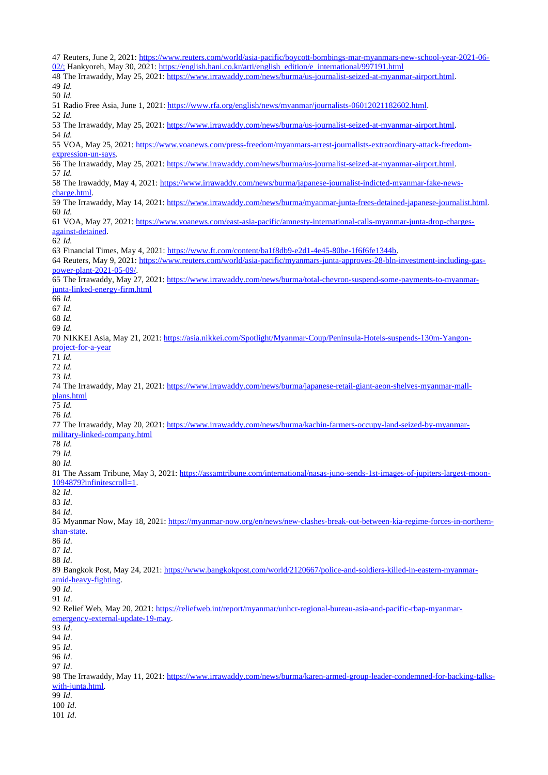| 47 Reuters, June 2, 2021: https://www.reuters.com/world/asia-pacific/boycott-bombings-mar-myanmars-new-school-year-2021-06-                                                                                                     |
|---------------------------------------------------------------------------------------------------------------------------------------------------------------------------------------------------------------------------------|
| 02/; Hankyoreh, May 30, 2021: https://english.hani.co.kr/arti/english_edition/e_international/997191.html<br>48 The Irrawaddy, May 25, 2021: https://www.irrawaddy.com/news/burma/us-journalist-seized-at-myanmar-airport.html. |
| 49 Id.                                                                                                                                                                                                                          |
| 50 Id.                                                                                                                                                                                                                          |
| 51 Radio Free Asia, June 1, 2021: https://www.rfa.org/english/news/myanmar/journalists-06012021182602.html.                                                                                                                     |
| 52 Id.<br>53 The Irrawaddy, May 25, 2021: https://www.irrawaddy.com/news/burma/us-journalist-seized-at-myanmar-airport.html.                                                                                                    |
| 54 Id.<br>55 VOA, May 25, 2021: https://www.voanews.com/press-freedom/myanmars-arrest-journalists-extraordinary-attack-freedom-                                                                                                 |
| expression-un-says.<br>56 The Irrawaddy, May 25, 2021: https://www.irrawaddy.com/news/burma/us-journalist-seized-at-myanmar-airport.html.<br>57 Id.                                                                             |
| 58 The Irawaddy, May 4, 2021: https://www.irrawaddy.com/news/burma/japanese-journalist-indicted-myanmar-fake-news-<br>charge.html.                                                                                              |
| 59 The Irrawaddy, May 14, 2021: https://www.irrawaddy.com/news/burma/myanmar-junta-frees-detained-japanese-journalist.html.<br>60 Id.                                                                                           |
| 61 VOA, May 27, 2021: https://www.voanews.com/east-asia-pacific/amnesty-international-calls-myanmar-junta-drop-charges-                                                                                                         |
| against-detained.<br>62 Id.                                                                                                                                                                                                     |
| 63 Financial Times, May 4, 2021: https://www.ft.com/content/ba1f8db9-e2d1-4e45-80be-1f6f6fe1344b.                                                                                                                               |
| 64 Reuters, May 9, 2021: https://www.reuters.com/world/asia-pacific/myanmars-junta-approves-28-bln-investment-including-gas-                                                                                                    |
| power-plant-2021-05-09/.<br>65 The Irrawaddy, May 27, 2021: https://www.irrawaddy.com/news/burma/total-chevron-suspend-some-payments-to-myanmar-                                                                                |
| junta-linked-energy-firm.html                                                                                                                                                                                                   |
| 66 Id.                                                                                                                                                                                                                          |
| 67 Id.<br>68 Id.                                                                                                                                                                                                                |
| 69 Id.                                                                                                                                                                                                                          |
| 70 NIKKEI Asia, May 21, 2021: https://asia.nikkei.com/Spotlight/Myanmar-Coup/Peninsula-Hotels-suspends-130m-Yangon-                                                                                                             |
| project-for-a-year                                                                                                                                                                                                              |
| 71 Id.                                                                                                                                                                                                                          |
| 72 Id.<br>73 Id.                                                                                                                                                                                                                |
| 74 The Irrawaddy, May 21, 2021: https://www.irrawaddy.com/news/burma/japanese-retail-giant-aeon-shelves-myanmar-mall-                                                                                                           |
| plans.html                                                                                                                                                                                                                      |
| 75 Id.                                                                                                                                                                                                                          |
| 76 Id.                                                                                                                                                                                                                          |
| 77 The Irrawaddy, May 20, 2021: https://www.irrawaddy.com/news/burma/kachin-farmers-occupy-land-seized-by-myanmar-                                                                                                              |
| military-linked-company.html<br>78 Id.                                                                                                                                                                                          |
| 79 Id.                                                                                                                                                                                                                          |
| 80 Id.                                                                                                                                                                                                                          |
| 81 The Assam Tribune, May 3, 2021: https://assamtribune.com/international/nasas-juno-sends-1st-images-of-jupiters-largest-moon-                                                                                                 |
| 1094879?infinitescroll=1.                                                                                                                                                                                                       |
| 82 Id.                                                                                                                                                                                                                          |
| 83 Id.<br>84 Id.                                                                                                                                                                                                                |
| 85 Myanmar Now, May 18, 2021: https://myanmar-now.org/en/news/new-clashes-break-out-between-kia-regime-forces-in-northern-                                                                                                      |
| shan-state.                                                                                                                                                                                                                     |
| 86 Id.                                                                                                                                                                                                                          |
| 87 Id.                                                                                                                                                                                                                          |
| 88 Id.<br>89 Bangkok Post, May 24, 2021: https://www.bangkokpost.com/world/2120667/police-and-soldiers-killed-in-eastern-myanmar-                                                                                               |
| amid-heavy-fighting.                                                                                                                                                                                                            |
| 90 Id.                                                                                                                                                                                                                          |
| 91 Id.                                                                                                                                                                                                                          |
| 92 Relief Web, May 20, 2021: https://reliefweb.int/report/myanmar/unhcr-regional-bureau-asia-and-pacific-rbap-myanmar-<br>emergency-external-update-19-may.                                                                     |
| 93 Id.                                                                                                                                                                                                                          |
| 94 Id.                                                                                                                                                                                                                          |
| 95 Id.                                                                                                                                                                                                                          |
| 96 Id.                                                                                                                                                                                                                          |
| 97 Id.                                                                                                                                                                                                                          |
| 98 The Irrawaddy, May 11, 2021: https://www.irrawaddy.com/news/burma/karen-armed-group-leader-condemned-for-backing-talks-<br>with-junta.html.                                                                                  |
| 99 Id.                                                                                                                                                                                                                          |
| 100 Id.                                                                                                                                                                                                                         |
| 101 Id.                                                                                                                                                                                                                         |
|                                                                                                                                                                                                                                 |